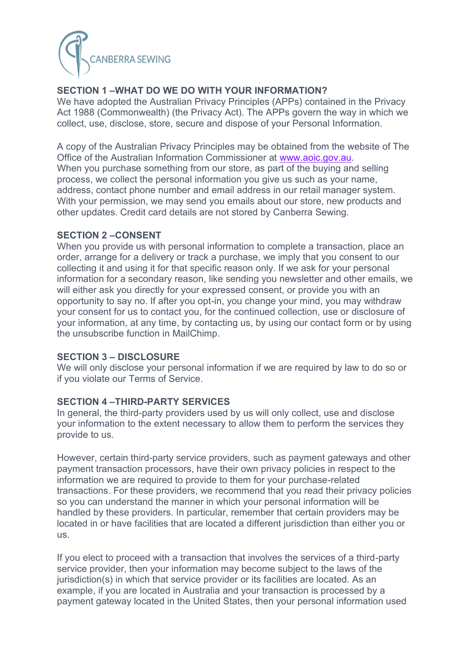

# **SECTION 1 –WHAT DO WE DO WITH YOUR INFORMATION?**

We have adopted the Australian Privacy Principles (APPs) contained in the Privacy Act 1988 (Commonwealth) (the Privacy Act). The APPs govern the way in which we collect, use, disclose, store, secure and dispose of your Personal Information.

A copy of the Australian Privacy Principles may be obtained from the website of The Office of the Australian Information Commissioner at [www.aoic.gov.au.](http://www.aoic.gov.au/) When you purchase something from our store, as part of the buying and selling process, we collect the personal information you give us such as your name, address, contact phone number and email address in our retail manager system. With your permission, we may send you emails about our store, new products and other updates. Credit card details are not stored by Canberra Sewing.

## **SECTION 2 –CONSENT**

When you provide us with personal information to complete a transaction, place an order, arrange for a delivery or track a purchase, we imply that you consent to our collecting it and using it for that specific reason only. If we ask for your personal information for a secondary reason, like sending you newsletter and other emails, we will either ask you directly for your expressed consent, or provide you with an opportunity to say no. If after you opt-in, you change your mind, you may withdraw your consent for us to contact you, for the continued collection, use or disclosure of your information, at any time, by contacting us, by using our contact form or by using the unsubscribe function in MailChimp.

## **SECTION 3 – DISCLOSURE**

We will only disclose your personal information if we are required by law to do so or if you violate our Terms of Service.

# **SECTION 4 –THIRD-PARTY SERVICES**

In general, the third-party providers used by us will only collect, use and disclose your information to the extent necessary to allow them to perform the services they provide to us.

However, certain third-party service providers, such as payment gateways and other payment transaction processors, have their own privacy policies in respect to the information we are required to provide to them for your purchase-related transactions. For these providers, we recommend that you read their privacy policies so you can understand the manner in which your personal information will be handled by these providers. In particular, remember that certain providers may be located in or have facilities that are located a different jurisdiction than either you or us.

If you elect to proceed with a transaction that involves the services of a third-party service provider, then your information may become subject to the laws of the jurisdiction(s) in which that service provider or its facilities are located. As an example, if you are located in Australia and your transaction is processed by a payment gateway located in the United States, then your personal information used